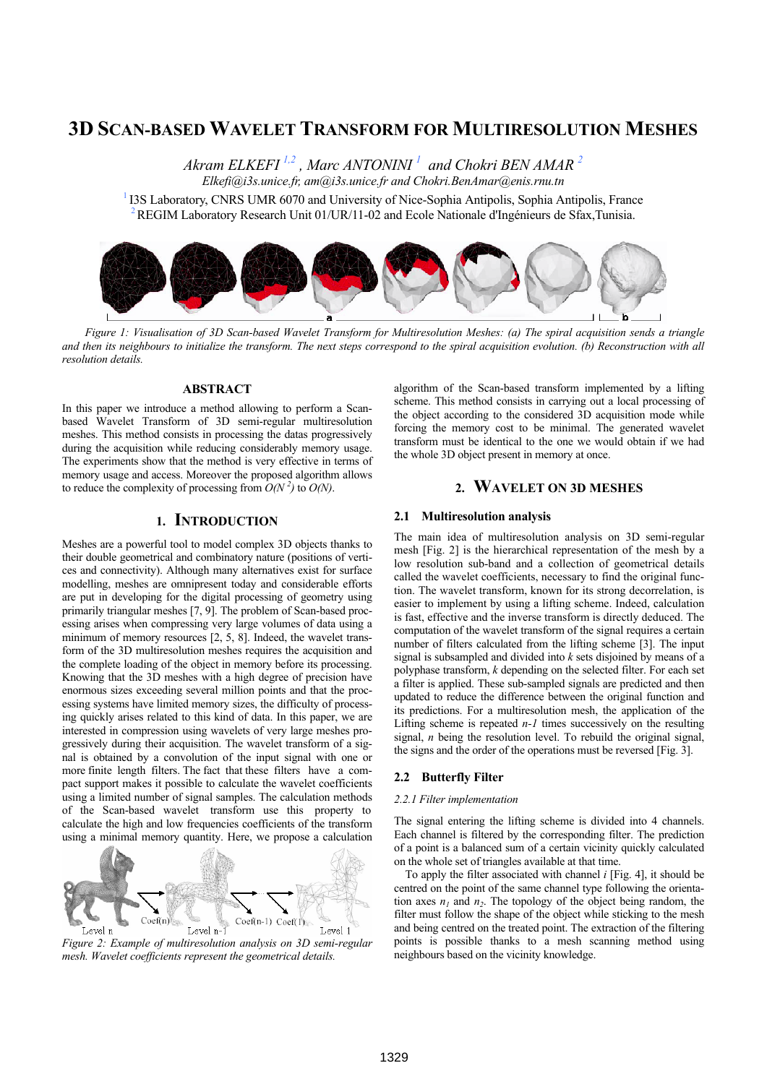# **3D SCAN-BASED WAVELET TRANSFORM FOR MULTIRESOLUTION MESHES**

*Akram ELKEFI 1,2 , Marc ANTONINI 1 and Chokri BEN AMAR 2 Elkefi@i3s.unice.fr, am@i3s.unice.fr and Chokri.BenAmar@enis.rnu.tn* 

<sup>1</sup> I3S Laboratory, CNRS UMR 6070 and University of Nice-Sophia Antipolis, Sophia Antipolis, France <sup>2</sup> REGIM Laboratory Research Unit 01/UR/11-02 and Ecole Nationale d'Ingénieurs de Sfax,Tunisia.



*Figure 1: Visualisation of 3D Scan-based Wavelet Transform for Multiresolution Meshes: (a) The spiral acquisition sends a triangle and then its neighbours to initialize the transform. The next steps correspond to the spiral acquisition evolution. (b) Reconstruction with all resolution details.* 

#### **ABSTRACT**

In this paper we introduce a method allowing to perform a Scanbased Wavelet Transform of 3D semi-regular multiresolution meshes. This method consists in processing the datas progressively during the acquisition while reducing considerably memory usage. The experiments show that the method is very effective in terms of memory usage and access. Moreover the proposed algorithm allows to reduce the complexity of processing from  $O(N^2)$  to  $O(N)$ .

## **1. INTRODUCTION**

Meshes are a powerful tool to model complex 3D objects thanks to their double geometrical and combinatory nature (positions of vertices and connectivity). Although many alternatives exist for surface modelling, meshes are omnipresent today and considerable efforts are put in developing for the digital processing of geometry using primarily triangular meshes [7, 9]. The problem of Scan-based processing arises when compressing very large volumes of data using a minimum of memory resources [2, 5, 8]. Indeed, the wavelet transform of the 3D multiresolution meshes requires the acquisition and the complete loading of the object in memory before its processing. Knowing that the 3D meshes with a high degree of precision have enormous sizes exceeding several million points and that the processing systems have limited memory sizes, the difficulty of processing quickly arises related to this kind of data. In this paper, we are interested in compression using wavelets of very large meshes progressively during their acquisition. The wavelet transform of a signal is obtained by a convolution of the input signal with one or more finite length filters. The fact that these filters have a compact support makes it possible to calculate the wavelet coefficients using a limited number of signal samples. The calculation methods of the Scan-based wavelet transform use this property to calculate the high and low frequencies coefficients of the transform using a minimal memory quantity. Here, we propose a calculation



*Figure 2: Example of multiresolution analysis on 3D semi-regular mesh. Wavelet coefficients represent the geometrical details.*

algorithm of the Scan-based transform implemented by a lifting scheme. This method consists in carrying out a local processing of the object according to the considered 3D acquisition mode while forcing the memory cost to be minimal. The generated wavelet transform must be identical to the one we would obtain if we had the whole 3D object present in memory at once.

# **2. WAVELET ON 3D MESHES**

#### **2.1 Multiresolution analysis**

The main idea of multiresolution analysis on 3D semi-regular mesh [Fig. 2] is the hierarchical representation of the mesh by a low resolution sub-band and a collection of geometrical details called the wavelet coefficients, necessary to find the original function. The wavelet transform, known for its strong decorrelation, is easier to implement by using a lifting scheme. Indeed, calculation is fast, effective and the inverse transform is directly deduced. The computation of the wavelet transform of the signal requires a certain number of filters calculated from the lifting scheme [3]. The input signal is subsampled and divided into *k* sets disjoined by means of a polyphase transform, *k* depending on the selected filter. For each set a filter is applied. These sub-sampled signals are predicted and then updated to reduce the difference between the original function and its predictions. For a multiresolution mesh, the application of the Lifting scheme is repeated *n-1* times successively on the resulting signal, *n* being the resolution level. To rebuild the original signal, the signs and the order of the operations must be reversed [Fig. 3].

#### **2.2 Butterfly Filter**

#### *2.2.1 Filter implementation*

The signal entering the lifting scheme is divided into 4 channels. Each channel is filtered by the corresponding filter. The prediction of a point is a balanced sum of a certain vicinity quickly calculated on the whole set of triangles available at that time.

 To apply the filter associated with channel *i* [Fig. 4], it should be centred on the point of the same channel type following the orientation axes  $n_1$  and  $n_2$ . The topology of the object being random, the filter must follow the shape of the object while sticking to the mesh and being centred on the treated point. The extraction of the filtering points is possible thanks to a mesh scanning method using neighbours based on the vicinity knowledge.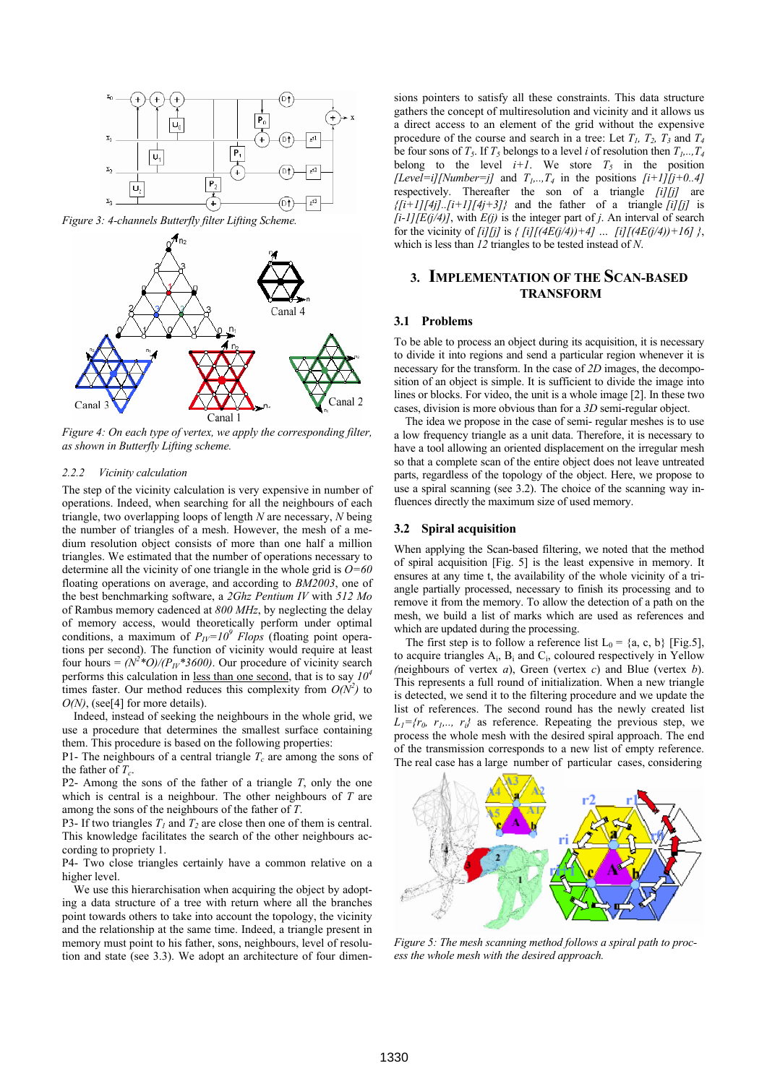

*Figure 3: 4-channels Butterfly filter Lifting Scheme.* 



*Figure 4: On each type of vertex, we apply the corresponding filter, as shown in Butterfly Lifting scheme.* 

#### *2.2.2 Vicinity calculation*

The step of the vicinity calculation is very expensive in number of operations. Indeed, when searching for all the neighbours of each triangle, two overlapping loops of length *N* are necessary, *N* being the number of triangles of a mesh. However, the mesh of a medium resolution object consists of more than one half a million triangles. We estimated that the number of operations necessary to determine all the vicinity of one triangle in the whole grid is *O=60* floating operations on average, and according to *BM2003*, one of the best benchmarking software, a *2Ghz Pentium IV* with *512 Mo* of Rambus memory cadenced at *800 MHz*, by neglecting the delay of memory access, would theoretically perform under optimal conditions, a maximum of  $P_{IV}=10^9$  Flops (floating point operations per second). The function of vicinity would require at least four hours =  $(N^2 * O)/(P_{1V} * 3600)$ . Our procedure of vicinity search performs this calculation in <u>less than one second</u>, that is to say  $10<sup>4</sup>$ times faster. Our method reduces this complexity from  $O(N^2)$  to *O(N)*, (see[4] for more details).

 Indeed, instead of seeking the neighbours in the whole grid, we use a procedure that determines the smallest surface containing them. This procedure is based on the following properties:

P1- The neighbours of a central triangle  $T_c$  are among the sons of the father of  $T_c$ .

P2- Among the sons of the father of a triangle *T*, only the one which is central is a neighbour. The other neighbours of *T* are among the sons of the neighbours of the father of *T*.

P3- If two triangles  $T_1$  and  $T_2$  are close then one of them is central. This knowledge facilitates the search of the other neighbours according to propriety 1.

P4- Two close triangles certainly have a common relative on a higher level.

 We use this hierarchisation when acquiring the object by adopting a data structure of a tree with return where all the branches point towards others to take into account the topology, the vicinity and the relationship at the same time. Indeed, a triangle present in memory must point to his father, sons, neighbours, level of resolution and state (see 3.3). We adopt an architecture of four dimensions pointers to satisfy all these constraints. This data structure gathers the concept of multiresolution and vicinity and it allows us a direct access to an element of the grid without the expensive procedure of the course and search in a tree: Let  $T_1$ ,  $T_2$ ,  $T_3$  and  $T_4$ be four sons of  $T_5$ . If  $T_5$  belongs to a level *i* of resolution then  $T_1, \ldots, T_4$ belong to the level  $i+1$ . We store  $T_5$  in the position *[Level=i][Number=j]* and  $T_1, \ldots, T_4$  in the positions  $[i+1][j+0..4]$ respectively. Thereafter the son of a triangle *[i][j]* are  $\{[i+1][4j]$ .. $[i+1][4j+3]$ } and the father of a triangle  $[i][j]$  is  $[i-1][E(j/4)]$ , with  $E(j)$  is the integer part of *j*. An interval of search for the vicinity of *[i][j]* is  $\{ [i] \{ [(4E(j/4)) + 4] \dots [i] \} [(4E(j/4)) + 16] \},$ which is less than *12* triangles to be tested instead of *N*.

### **3. IMPLEMENTATION OF THE SCAN-BASED TRANSFORM**

#### **3.1 Problems**

To be able to process an object during its acquisition, it is necessary to divide it into regions and send a particular region whenever it is necessary for the transform. In the case of *2D* images, the decomposition of an object is simple. It is sufficient to divide the image into lines or blocks. For video, the unit is a whole image [2]. In these two cases, division is more obvious than for a *3D* semi-regular object.

 The idea we propose in the case of semi- regular meshes is to use a low frequency triangle as a unit data. Therefore, it is necessary to have a tool allowing an oriented displacement on the irregular mesh so that a complete scan of the entire object does not leave untreated parts, regardless of the topology of the object. Here, we propose to use a spiral scanning (see 3.2). The choice of the scanning way influences directly the maximum size of used memory.

#### **3.2 Spiral acquisition**

When applying the Scan-based filtering, we noted that the method of spiral acquisition [Fig. 5] is the least expensive in memory. It ensures at any time t, the availability of the whole vicinity of a triangle partially processed, necessary to finish its processing and to remove it from the memory. To allow the detection of a path on the mesh, we build a list of marks which are used as references and which are updated during the processing.

The first step is to follow a reference list  $L_0 = \{a, c, b\}$  [Fig.5], to acquire triangles  $A_i$ ,  $B_i$  and  $C_i$ , coloured respectively in Yellow *(*neighbours of vertex *a*), Green (vertex *c*) and Blue (vertex *b*). This represents a full round of initialization. When a new triangle is detected, we send it to the filtering procedure and we update the list of references. The second round has the newly created list  $L_1 = \{r_0, r_1, \ldots, r_i\}$  as reference. Repeating the previous step, we process the whole mesh with the desired spiral approach. The end of the transmission corresponds to a new list of empty reference. The real case has a large number of particular cases, considering



*Figure 5: The mesh scanning method follows a spiral path to process the whole mesh with the desired approach.*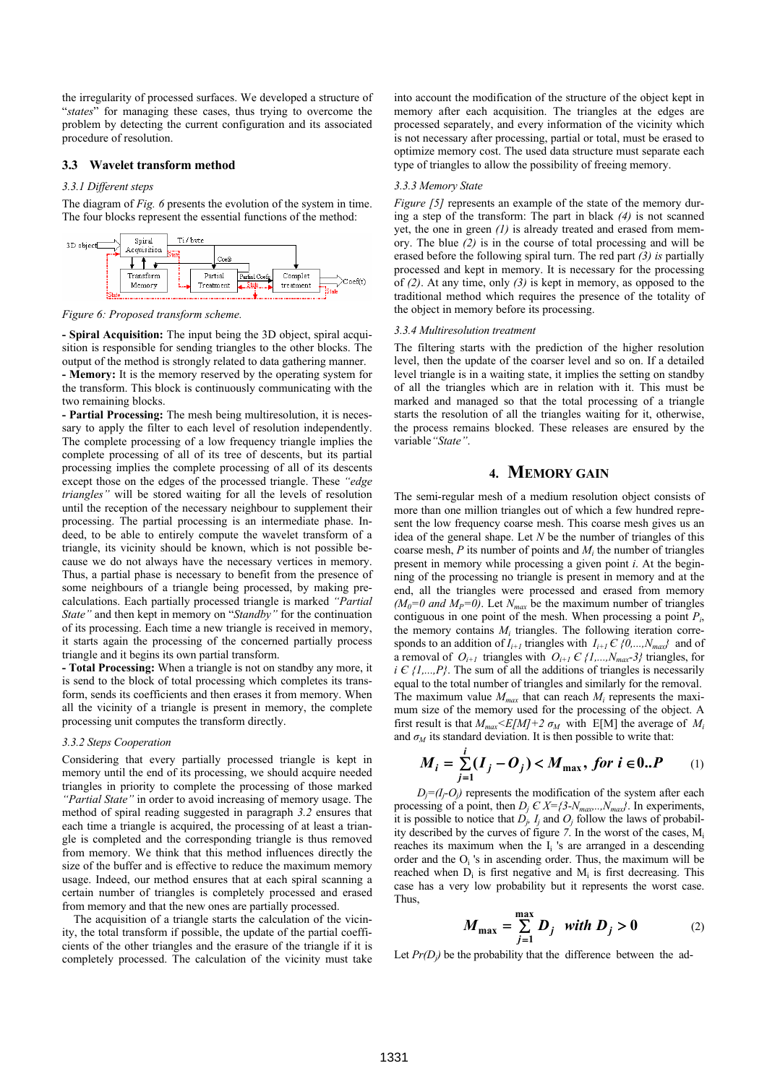the irregularity of processed surfaces. We developed a structure of "*states*" for managing these cases, thus trying to overcome the problem by detecting the current configuration and its associated procedure of resolution.

#### **3.3 Wavelet transform method**

#### *3.3.1 Different steps*

The diagram of *Fig. 6* presents the evolution of the system in time. The four blocks represent the essential functions of the method:



*Figure 6: Proposed transform scheme.* 

**- Spiral Acquisition:** The input being the 3D object, spiral acquisition is responsible for sending triangles to the other blocks. The output of the method is strongly related to data gathering manner.

**- Memory:** It is the memory reserved by the operating system for the transform. This block is continuously communicating with the two remaining blocks.

**- Partial Processing:** The mesh being multiresolution, it is necessary to apply the filter to each level of resolution independently. The complete processing of a low frequency triangle implies the complete processing of all of its tree of descents, but its partial processing implies the complete processing of all of its descents except those on the edges of the processed triangle. These *"edge triangles"* will be stored waiting for all the levels of resolution until the reception of the necessary neighbour to supplement their processing. The partial processing is an intermediate phase. Indeed, to be able to entirely compute the wavelet transform of a triangle, its vicinity should be known, which is not possible because we do not always have the necessary vertices in memory. Thus, a partial phase is necessary to benefit from the presence of some neighbours of a triangle being processed, by making precalculations. Each partially processed triangle is marked *"Partial State"* and then kept in memory on "*Standby"* for the continuation of its processing. Each time a new triangle is received in memory, it starts again the processing of the concerned partially process triangle and it begins its own partial transform.

**- Total Processing:** When a triangle is not on standby any more, it is send to the block of total processing which completes its transform, sends its coefficients and then erases it from memory. When all the vicinity of a triangle is present in memory, the complete processing unit computes the transform directly.

#### *3.3.2 Steps Cooperation*

Considering that every partially processed triangle is kept in memory until the end of its processing, we should acquire needed triangles in priority to complete the processing of those marked *"Partial State"* in order to avoid increasing of memory usage. The method of spiral reading suggested in paragraph *3.2* ensures that each time a triangle is acquired, the processing of at least a triangle is completed and the corresponding triangle is thus removed from memory. We think that this method influences directly the size of the buffer and is effective to reduce the maximum memory usage. Indeed, our method ensures that at each spiral scanning a certain number of triangles is completely processed and erased from memory and that the new ones are partially processed.

 The acquisition of a triangle starts the calculation of the vicinity, the total transform if possible, the update of the partial coefficients of the other triangles and the erasure of the triangle if it is completely processed. The calculation of the vicinity must take into account the modification of the structure of the object kept in memory after each acquisition. The triangles at the edges are processed separately, and every information of the vicinity which is not necessary after processing, partial or total, must be erased to optimize memory cost. The used data structure must separate each type of triangles to allow the possibility of freeing memory.

#### *3.3.3 Memory State*

*Figure [5]* represents an example of the state of the memory during a step of the transform: The part in black *(4)* is not scanned yet, the one in green *(1)* is already treated and erased from memory. The blue *(2)* is in the course of total processing and will be erased before the following spiral turn. The red part *(3) is* partially processed and kept in memory. It is necessary for the processing of *(2)*. At any time, only *(3)* is kept in memory, as opposed to the traditional method which requires the presence of the totality of the object in memory before its processing.

#### *3.3.4 Multiresolution treatment*

The filtering starts with the prediction of the higher resolution level, then the update of the coarser level and so on. If a detailed level triangle is in a waiting state, it implies the setting on standby of all the triangles which are in relation with it. This must be marked and managed so that the total processing of a triangle starts the resolution of all the triangles waiting for it, otherwise, the process remains blocked. These releases are ensured by the variable*"State"*.

### **4. MEMORY GAIN**

The semi-regular mesh of a medium resolution object consists of more than one million triangles out of which a few hundred represent the low frequency coarse mesh. This coarse mesh gives us an idea of the general shape. Let *N* be the number of triangles of this coarse mesh,  $P$  its number of points and  $M_i$  the number of triangles present in memory while processing a given point *i*. At the beginning of the processing no triangle is present in memory and at the end, all the triangles were processed and erased from memory  $(M_0=0$  and  $M_p=0$ ). Let  $N_{max}$  be the maximum number of triangles contiguous in one point of the mesh. When processing a point *Pi*, the memory contains  $M_i$  triangles. The following iteration corresponds to an addition of  $I_{i+1}$  triangles with  $I_{i+1} \in \{0, ..., N_{max}\}\$  and of a removal of  $O_{i+1}$  triangles with  $O_{i+1} \in \{1, ..., N_{max}-3\}$  triangles, for  $i \in \{1,...,P\}$ . The sum of all the additions of triangles is necessarily equal to the total number of triangles and similarly for the removal. The maximum value  $M_{max}$  that can reach  $M_i$  represents the maximum size of the memory used for the processing of the object. A first result is that  $M_{max} \le E[M]+2 \sigma_M$  with E[M] the average of  $M_i$ and  $\sigma_M$  its standard deviation. It is then possible to write that:

$$
M_i = \sum_{j=1}^{i} (I_j - O_j) < M_{\text{max}}, \text{ for } i \in 0..P \qquad (1)
$$

 $D_i = (I_i - O_i)$  represents the modification of the system after each processing of a point, then  $D_j \in X = \{3-N_{max},..,N_{max}\}$ . In experiments, it is possible to notice that  $D_i$ ,  $I_i$  and  $O_j$  follow the laws of probability described by the curves of figure  $7$ . In the worst of the cases,  $M_i$ reaches its maximum when the I<sub>i</sub>'s are arranged in a descending order and the  $O_i$  's in ascending order. Thus, the maximum will be reached when  $D_i$  is first negative and  $M_i$  is first decreasing. This case has a very low probability but it represents the worst case. Thus,

$$
M_{\text{max}} = \sum_{j=1}^{\text{max}} D_j \quad \text{with } D_j > 0 \tag{2}
$$

Let  $Pr(D_i)$  be the probability that the difference between the ad-